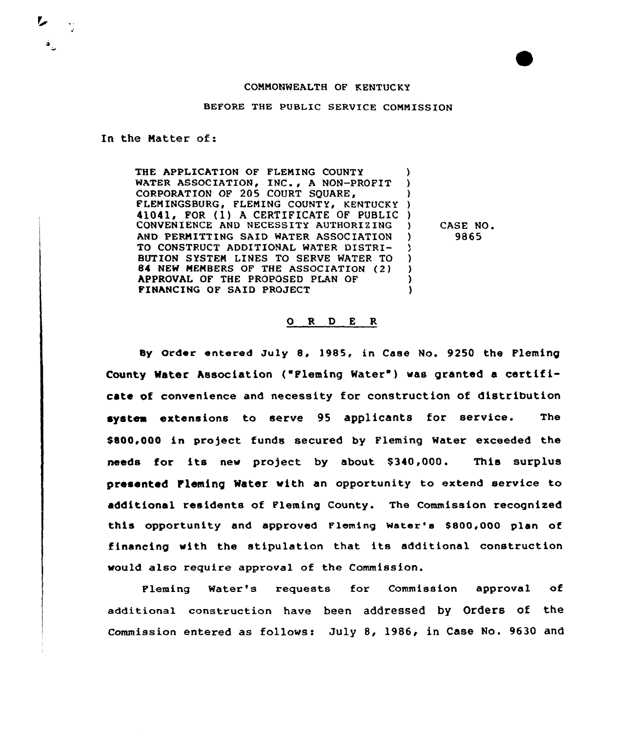## COMMONWEALTH OF KENTUCKY

BEFORE THE PUBLIC SERVICE COMMISSION

In the Matter of:

THE APPLICATION OF FLEMING COUNTY ) WATER ASSOCIATION, INC., A NON-PROFIT ) CORPORATION OF 205 COURT SQUARE, ) FLENINGSBURG, FLEMING COUNTY, KENTUCKY ) 41041, FOR (1) h CERTIFICATE OF PUBLIC ) CONVENIENCE AND NECESSITY AUTHORIZING AND PERNITTING SAID WATER ASSOCIATION TO CONSTRUCT ADDITIONAL WATER DISTRI-У BUTION SYSTEM LINES TO SERVE MATER TO ) 84 NEW MEMBERS OF THE ASSOCIATION (2) ) APPROVAL OF THE PROPOSED PLAN OF  $\lambda$ FINANCING OF SAID PROJECT )

) CASE NO. ) 9865

## 0 R <sup>D</sup> <sup>E</sup> R

Sy Order entered July 8, 1985, in Case No. 9250 the Fleming County Water Association ("Fleming Water") was granted a certificate of convenience and necessity for construction of distribution system extensions to serve 95 applicants for service. The \$800,000 in project funds secured by Fleming Water exceeded the needs for its new project by about \$340,000. This surplus presented Fleming Water with an opportunity to extend service to additional residents of Fleming County. The Commission recognized this opportunity and approved Fleming Water's \$800,000 plan of financing with the stipulation that its additional construction would also require approval of the Commission.

Fleming Water's requests for Commission approval of additional construction have been addressed by Orders of the Commission entered as follows: July 8, 1986, in Case No. 9630 and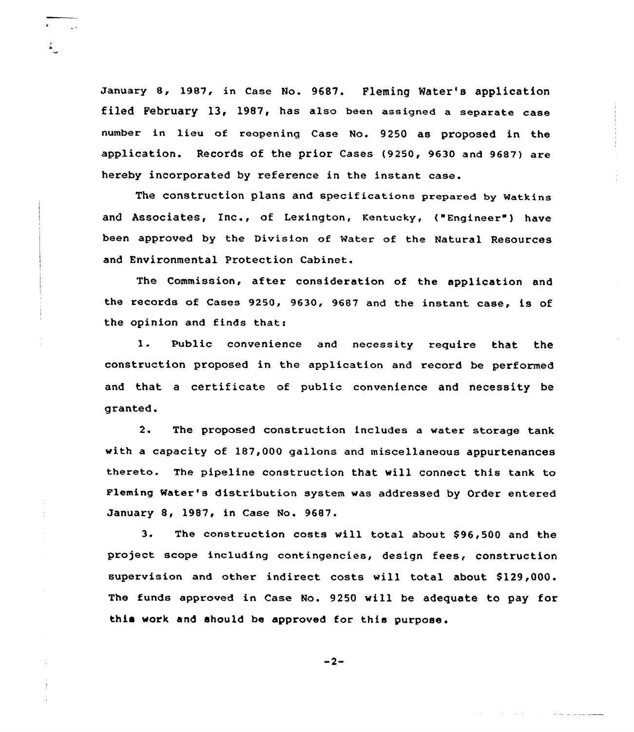January 8, 1987, in Case No. 9687. Fleming Water's application filed February 13, 1987, has also been assigned a separate case number in lieu of reopening Case No. 9250 as proposed in the application. Records of the prior Cases (9250, 9630 and 9687) are hereby incorporated by reference in the instant case.

The construction plans and specifications prepared by Watkins and Associates, Inc., of Lexington, Kentucky, ("Engineer") have been approved by the Division of Water of the Natural Resources and Environmental Protection Cabinet.

The Commission, after consideration of the application and the records of Cases 9250, 9630, 9687 and the instant case, is of the opinion and finds that:

 $1.$ Public convenience and necessity require that the construction proposed in the application and record be performed and that a certificate of public convenience and necessity be granted.

2. The proposed construction includes a water storage tank with a capacity of l87,000 gallons and miscellaneous appurtenances thereto. The pipeline construction that will connect this tank to Fleming Water's distribution system was addressed by Order entered January 8, 1987, in Case No. 9687.

3. The construction costs will total about \$96,500 and the project scope including contingencies, design fees, construction supervision and other indirect costs will total about \$ 129,000. The funds approved in Case No. 9250 will be adequate to pay for this work and should be approved for this purpose.

 $-2-$ 

a construction of the construction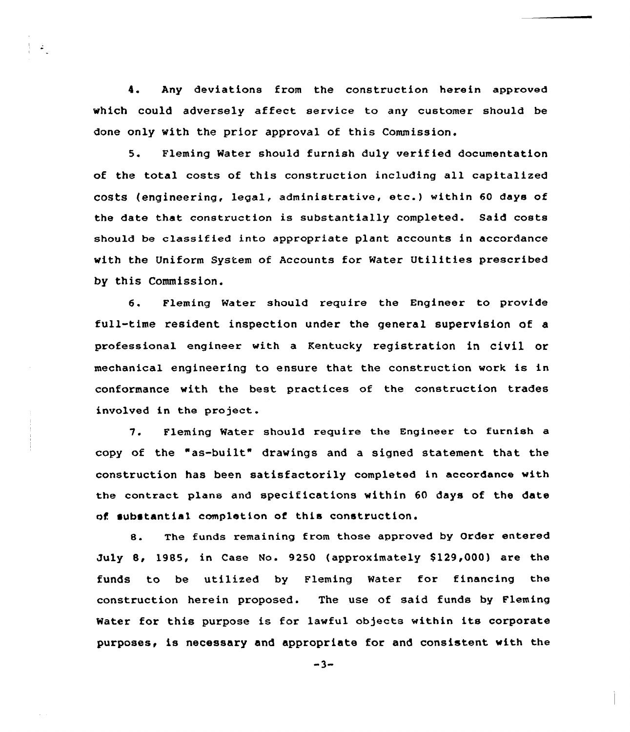4. Any deviations from the construction herein approved which could adversely affect service to any customer should be done only with the prior approval of this Commission.

 $\Delta_{\rm c}$ 

5. Fleming Water should furnish duly verified documentation of the total costs of this construction including all capitalized costs (engineering, legal, administrative, etc.) within <sup>60</sup> days of the date that construction is substantially completed. Said costs should be classified into appropriate plant accounts in accordance with the Uniform System of Accounts for Water Utilities prescribed by this Commission.

6. Fleming Water should require the Engineer to provide full-time resident inspection under the general supervision of a professional engineer with a Kentucky registration in civil or mechanical engineering to ensure that the construction work is in conformance with the best practices of the construction trades involved in the project.

7. Fleming Water should require the Engineer to furnish a copy of the "as-built" drawings and a signed statement that the construction has been satisfactorily completed in accordance with the contract plans and specifications within 60 days of the date of substantial completion of this construction.

8. The funds remaining from those approved by Order entered July 8, 1985, in Case No. 9250 (approximately \$129,000) are the funds to be utilized by Fleming Water for financing the construction herein proposed. The use of said funds by Fleming Water for this purpose is for lawful objects within its corporate purposes, is necessary and appropriate for and consistent with the

 $-3-$